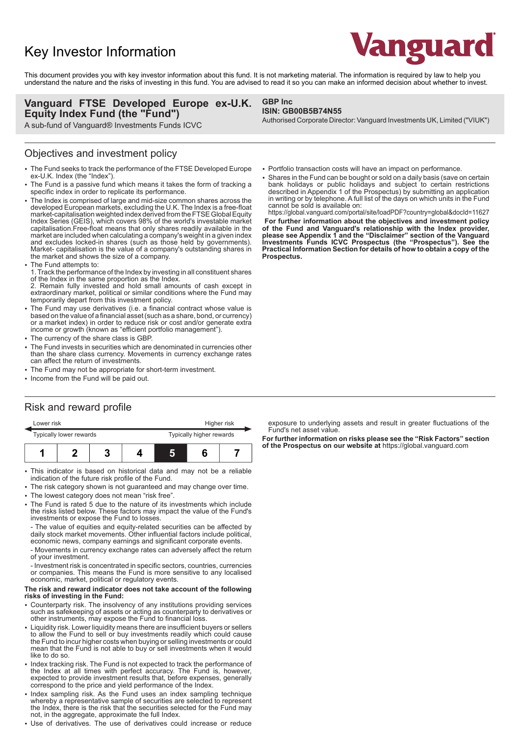# Key Investor Information



This document provides you with key investor information about this fund. It is not marketing material. The information is required by law to help you understand the nature and the risks of investing in this fund. You are advised to read it so you can make an informed decision about whether to invest.

**GBP Inc**

**ISIN: GB00B5B74N55**

#### **Vanguard FTSE Developed Europe ex-U.K. Equity Index Fund (the "Fund")**

A sub-fund of Vanguard® Investments Funds ICVC

#### Objectives and investment policy

- 2 The Fund seeks to track the performance of the FTSE Developed Europe ex-U.K. Index (the "Index").
- The Fund is a passive fund which means it takes the form of tracking a specific index in order to replicate its performance.
- The Index is comprised of large and mid-size common shares across the developed European markets, excluding the U.K. The Index is a free-float market-capitalisation weighted index derived from the FTSE Global Equity Index Series (GEIS), which covers 98% of the world's investable market capitalisation.Free-float means that only shares readily available in the market are included when calculating a company's weight in a given index and excludes locked-in shares (such as those held by governments). Market- capitalisation is the value of a company's outstanding shares in the market and shows the size of a company.
- The Fund attempts to:

1. Track the performance of the Index by investing in all constituent shares of the Index in the same proportion as the Index.

2. Remain fully invested and hold small amounts of cash except in extraordinary market, political or similar conditions where the Fund may temporarily depart from this investment policy.

- The Fund may use derivatives (i.e. a financial contract whose value is based on the value of a financial asset (such as a share, bond, or currency) or a market index) in order to reduce risk or cost and/or generate extra income or growth (known as "efficient portfolio management").
- The currency of the share class is GBP.
- The Fund invests in securities which are denominated in currencies other than the share class currency. Movements in currency exchange rates can affect the return of investments.
- The Fund may not be appropriate for short-term investment.
- Income from the Fund will be paid out.
- Portfolio transaction costs will have an impact on performance.
- Shares in the Fund can be bought or sold on a daily basis (save on certain bank holidays or public holidays and subject to certain restrictions described in Appendix 1 of the Prospectus) by submitting an application in writing or by telephone. A full list of the days on which units in the Fund cannot be sold is available on:

Authorised Corporate Director: Vanguard Investments UK, Limited ("VIUK")

https://global.vanguard.com/portal/site/loadPDF?country=global&docId=11627  **For further information about the objectives and investment policy of the Fund and Vanguard's relationship with the Index provider, please see Appendix 1 and the "Disclaimer" section of the Vanguard Investments Funds ICVC Prospectus (the "Prospectus"). See the Practical Information Section for details of how to obtain a copy of the Prospectus.** 

# Risk and reward profile

| Lower risk              |  |  |  | Higher risk              |  |  |
|-------------------------|--|--|--|--------------------------|--|--|
| Typically lower rewards |  |  |  | Typically higher rewards |  |  |
|                         |  |  |  | ı                        |  |  |

- This indicator is based on historical data and may not be a reliable indication of the future risk profile of the Fund.
- The risk category shown is not guaranteed and may change over time.
- The lowest category does not mean "risk free".
- 2 The Fund is rated 5 due to the nature of its investments which include the risks listed below. These factors may impact the value of the Fund's investments or expose the Fund to losses.

- The value of equities and equity-related securities can be affected by daily stock market movements. Other influential factors include political, economic news, company earnings and significant corporate events.

- Movements in currency exchange rates can adversely affect the return of your investment.

- Investment risk is concentrated in specific sectors, countries, currencies or companies. This means the Fund is more sensitive to any localised economic, market, political or regulatory events.

#### **The risk and reward indicator does not take account of the following risks of investing in the Fund:**

- 2 Counterparty risk. The insolvency of any institutions providing services such as safekeeping of assets or acting as counterparty to derivatives or other instruments, may expose the Fund to financial loss.
- Liquidity risk. Lower liquidity means there are insufficient buyers or sellers to allow the Fund to sell or buy investments readily which could cause the Fund to incur higher costs when buying or selling investments or could mean that the Fund is not able to buy or sell investments when it would like to do so.
- Index tracking risk. The Fund is not expected to track the performance of the Index at all times with perfect accuracy. The Fund is, however, expected to provide investment results that, before expenses, generally correspond to the price and yield performance of the Index.
- Index sampling risk. As the Fund uses an index sampling technique whereby a representative sample of securities are selected to represent the Index, there is the risk that the securities selected for the Fund may not, in the aggregate, approximate the full Index.
- 2 Use of derivatives. The use of derivatives could increase or reduce

exposure to underlying assets and result in greater fluctuations of the Fund's net asset value.

**For further information on risks please see the "Risk Factors" section of the Prospectus on our website at** https://global.vanguard.com